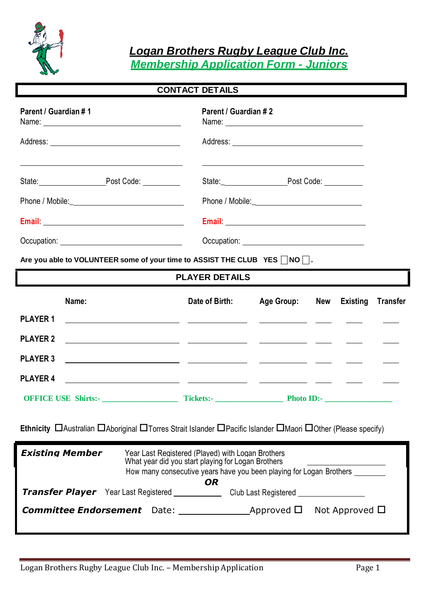

*Logan Brothers Rugby League Club Inc. Membership Application Form - Juniors*

**CONTACT DETAILS**

| Parent / Guardian #1                                                                                                                      | Parent / Guardian # 2                                                                                                                                                                       |                                                             |     |  |                          |
|-------------------------------------------------------------------------------------------------------------------------------------------|---------------------------------------------------------------------------------------------------------------------------------------------------------------------------------------------|-------------------------------------------------------------|-----|--|--------------------------|
|                                                                                                                                           |                                                                                                                                                                                             |                                                             |     |  |                          |
| <u> 1989 - Johann Stoff, amerikansk politiker (* 1908)</u><br>State: Post Code: Code:                                                     |                                                                                                                                                                                             | <u> 1999 - Johann Stoff, amerikansk politiker (d. 1989)</u> |     |  |                          |
|                                                                                                                                           |                                                                                                                                                                                             |                                                             |     |  |                          |
|                                                                                                                                           |                                                                                                                                                                                             | Email: <u>Alexander School (Alexander School)</u>           |     |  |                          |
|                                                                                                                                           |                                                                                                                                                                                             |                                                             |     |  |                          |
| Are you able to VOLUNTEER some of your time to ASSIST THE CLUB YES $\Box$ NO $\Box$ .                                                     |                                                                                                                                                                                             |                                                             |     |  |                          |
|                                                                                                                                           | <b>PLAYER DETAILS</b>                                                                                                                                                                       |                                                             |     |  |                          |
| Name:                                                                                                                                     | Date of Birth:                                                                                                                                                                              | <b>Age Group:</b>                                           | New |  | <b>Existing Transfer</b> |
| <b>PLAYER 1</b>                                                                                                                           |                                                                                                                                                                                             |                                                             |     |  |                          |
| <b>PLAYER 2</b><br><u> 1999 - Jan Barriston, marian al-Amerikaan pinang pangangan pada 1999 - Pangangan ang pangangang pangangang pan</u> |                                                                                                                                                                                             |                                                             |     |  |                          |
| <b>PLAYER 3</b>                                                                                                                           |                                                                                                                                                                                             |                                                             |     |  |                          |
| <b>PLAYER 4</b>                                                                                                                           |                                                                                                                                                                                             |                                                             |     |  |                          |
|                                                                                                                                           |                                                                                                                                                                                             |                                                             |     |  |                          |
| Ethnicity DAustralian DAboriginal DTorres Strait Islander DPacific Islander DMaori DOther (Please specify)<br><b>Existing Member</b>      | Year Last Registered (Played) with Logan Brothers<br>What year did you start playing for Logan Brothers<br>How many consecutive years have you been playing for Logan Brothers<br><b>OR</b> |                                                             |     |  |                          |
| <b>Transfer Player</b> Year Last Registered ___________                                                                                   |                                                                                                                                                                                             | Club Last Registered __________________                     |     |  |                          |
|                                                                                                                                           |                                                                                                                                                                                             |                                                             |     |  |                          |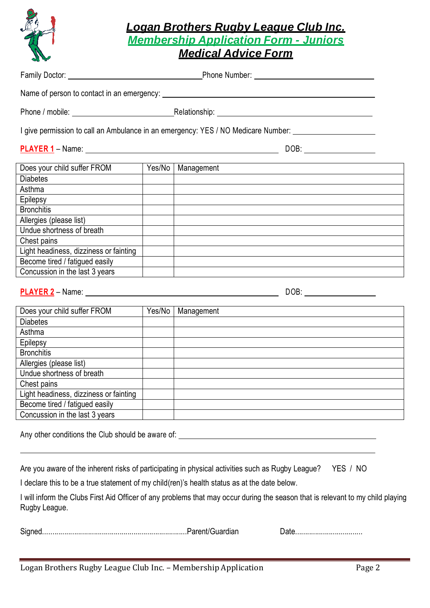

# *Logan Brothers Rugby League Club Inc.*

*Membership Application Form - Juniors*

#### *Medical Advice Form*

|                                                                |        | I give permission to call an Ambulance in an emergency: YES / NO Medicare Number: ___________________________                   |          |  |  |
|----------------------------------------------------------------|--------|---------------------------------------------------------------------------------------------------------------------------------|----------|--|--|
|                                                                |        |                                                                                                                                 |          |  |  |
| Does your child suffer FROM                                    | Yes/No | Management                                                                                                                      |          |  |  |
| <b>Diabetes</b>                                                |        |                                                                                                                                 |          |  |  |
| Asthma                                                         |        |                                                                                                                                 |          |  |  |
| Epilepsy                                                       |        |                                                                                                                                 |          |  |  |
| <b>Bronchitis</b>                                              |        |                                                                                                                                 |          |  |  |
| Allergies (please list)                                        |        |                                                                                                                                 |          |  |  |
| Undue shortness of breath                                      |        |                                                                                                                                 |          |  |  |
| Chest pains                                                    |        |                                                                                                                                 |          |  |  |
| Light headiness, dizziness or fainting                         |        |                                                                                                                                 |          |  |  |
| Become tired / fatigued easily                                 |        |                                                                                                                                 |          |  |  |
| Concussion in the last 3 years                                 |        |                                                                                                                                 |          |  |  |
|                                                                |        |                                                                                                                                 |          |  |  |
| Does your child suffer FROM                                    | Yes/No | Management                                                                                                                      |          |  |  |
| <b>Diabetes</b>                                                |        |                                                                                                                                 |          |  |  |
| Asthma                                                         |        |                                                                                                                                 |          |  |  |
| Epilepsy                                                       |        |                                                                                                                                 |          |  |  |
| <b>Bronchitis</b>                                              |        |                                                                                                                                 |          |  |  |
| Allergies (please list)                                        |        |                                                                                                                                 |          |  |  |
| Undue shortness of breath                                      |        |                                                                                                                                 |          |  |  |
| Chest pains                                                    |        |                                                                                                                                 |          |  |  |
| Light headiness, dizziness or fainting                         |        |                                                                                                                                 |          |  |  |
| Become tired / fatigued easily                                 |        |                                                                                                                                 |          |  |  |
| Concussion in the last 3 years                                 |        |                                                                                                                                 |          |  |  |
|                                                                |        | Any other conditions the Club should be aware of: _______________________________                                               |          |  |  |
|                                                                |        | Are you aware of the inherent risks of participating in physical activities such as Rugby League?                               | YES / NO |  |  |
|                                                                |        | I declare this to be a true statement of my child(ren)'s health status as at the date below.                                    |          |  |  |
| Rugby League.                                                  |        | I will inform the Clubs First Aid Officer of any problems that may occur during the season that is relevant to my child playing |          |  |  |
|                                                                |        | Date                                                                                                                            |          |  |  |
| Logan Brothers Rugby League Club Inc. - Membership Application |        |                                                                                                                                 | Page 2   |  |  |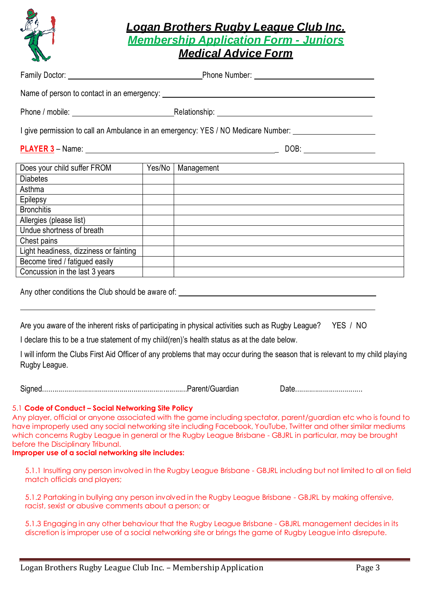

## *Logan Brothers Rugby League Club Inc.*

*Membership Application Form - Juniors*

### *Medical Advice Form*

|                                                                                                                                                |        | I give permission to call an Ambulance in an emergency: YES / NO Medicare Number: ____________________________                                                                                                                                                                                                                                  |
|------------------------------------------------------------------------------------------------------------------------------------------------|--------|-------------------------------------------------------------------------------------------------------------------------------------------------------------------------------------------------------------------------------------------------------------------------------------------------------------------------------------------------|
|                                                                                                                                                |        |                                                                                                                                                                                                                                                                                                                                                 |
|                                                                                                                                                |        |                                                                                                                                                                                                                                                                                                                                                 |
| Does your child suffer FROM<br><b>Diabetes</b>                                                                                                 | Yes/No | Management                                                                                                                                                                                                                                                                                                                                      |
|                                                                                                                                                |        |                                                                                                                                                                                                                                                                                                                                                 |
| Asthma                                                                                                                                         |        |                                                                                                                                                                                                                                                                                                                                                 |
| Epilepsy<br><b>Bronchitis</b>                                                                                                                  |        | <u> 1989 - Jan Stein, Amerikaansk politiker (* 1958)</u>                                                                                                                                                                                                                                                                                        |
| Allergies (please list)                                                                                                                        |        |                                                                                                                                                                                                                                                                                                                                                 |
| Undue shortness of breath                                                                                                                      |        |                                                                                                                                                                                                                                                                                                                                                 |
| Chest pains                                                                                                                                    |        |                                                                                                                                                                                                                                                                                                                                                 |
| Light headiness, dizziness or fainting                                                                                                         |        |                                                                                                                                                                                                                                                                                                                                                 |
| Become tired / fatigued easily                                                                                                                 |        |                                                                                                                                                                                                                                                                                                                                                 |
| Concussion in the last 3 years                                                                                                                 |        |                                                                                                                                                                                                                                                                                                                                                 |
|                                                                                                                                                |        | Are you aware of the inherent risks of participating in physical activities such as Rugby League? YES / NO<br>I declare this to be a true statement of my child(ren)'s health status as at the date below.<br>I will inform the Clubs First Aid Officer of any problems that may occur during the season that is relevant to my child playing   |
| Rugby League.                                                                                                                                  |        |                                                                                                                                                                                                                                                                                                                                                 |
|                                                                                                                                                |        |                                                                                                                                                                                                                                                                                                                                                 |
| 5.1 Code of Conduct - Social Networking Site Policy<br>before the Disciplinary Tribunal.<br>Improper use of a social networking site includes: |        | Any player, official or anyone associated with the game including spectator, parent/guardian etc who is found to<br>have improperly used any social networking site including Facebook, YouTube, Twitter and other similar mediums<br>which concerns Rugby League in general or the Rugby League Brisbane - GBJRL in particular, may be brought |
| match officials and players;                                                                                                                   |        | 5.1.1 Insulting any person involved in the Rugby League Brisbane - GBJRL including but not limited to all on field                                                                                                                                                                                                                              |
| racist, sexist or abusive comments about a person; or                                                                                          |        | 5.1.2 Partaking in bullying any person involved in the Rugby League Brisbane - GBJRL by making offensive,                                                                                                                                                                                                                                       |
|                                                                                                                                                |        | 5.1.3 Engaging in any other behaviour that the Rugby League Brisbane - GBJRL management decides in its<br>discretion is improper use of a social networking site or brings the game of Rugby League into disrepute.                                                                                                                             |